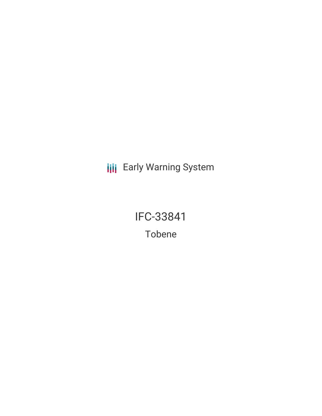**III** Early Warning System

IFC-33841 Tobene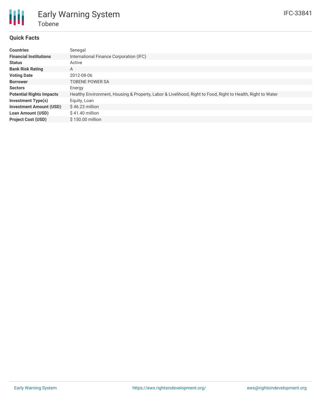

## **Quick Facts**

| <b>Countries</b>                | Senegal                                                                                                     |
|---------------------------------|-------------------------------------------------------------------------------------------------------------|
| <b>Financial Institutions</b>   | International Finance Corporation (IFC)                                                                     |
| <b>Status</b>                   | Active                                                                                                      |
| <b>Bank Risk Rating</b>         | A                                                                                                           |
| <b>Voting Date</b>              | 2012-08-06                                                                                                  |
| <b>Borrower</b>                 | TOBENE POWER SA                                                                                             |
| <b>Sectors</b>                  | Energy                                                                                                      |
| <b>Potential Rights Impacts</b> | Healthy Environment, Housing & Property, Labor & Livelihood, Right to Food, Right to Health, Right to Water |
| Investment Type(s)              | Equity, Loan                                                                                                |
| <b>Investment Amount (USD)</b>  | $$46.23$ million                                                                                            |
| <b>Loan Amount (USD)</b>        | $$41.40$ million                                                                                            |
| <b>Project Cost (USD)</b>       | \$150.00 million                                                                                            |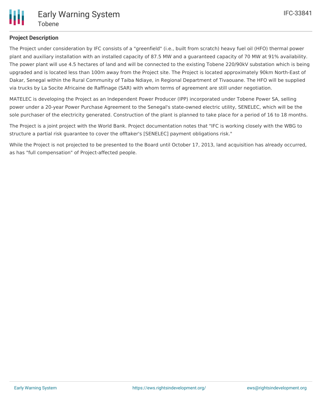

## **Project Description**

The Project under consideration by IFC consists of a "greenfield" (i.e., built from scratch) heavy fuel oil (HFO) thermal power plant and auxiliary installation with an installed capacity of 87.5 MW and a guaranteed capacity of 70 MW at 91% availability. The power plant will use 4.5 hectares of land and will be connected to the existing Tobene 220/90kV substation which is being upgraded and is located less than 100m away from the Project site. The Project is located approximately 90km North-East of Dakar, Senegal within the Rural Community of Taiba Ndiaye, in Regional Department of Tivaouane. The HFO will be supplied via trucks by La Socite Africaine de Raffinage (SAR) with whom terms of agreement are still under negotiation.

MATELEC is developing the Project as an Independent Power Producer (IPP) incorporated under Tobene Power SA, selling power under a 20-year Power Purchase Agreement to the Senegal's state-owned electric utility, SENELEC, which will be the sole purchaser of the electricity generated. Construction of the plant is planned to take place for a period of 16 to 18 months.

The Project is a joint project with the World Bank. Project documentation notes that "IFC is working closely with the WBG to structure a partial risk guarantee to cover the offtaker's [SENELEC] payment obligations risk."

While the Project is not projected to be presented to the Board until October 17, 2013, land acquisition has already occurred, as has "full compensation" of Project-affected people.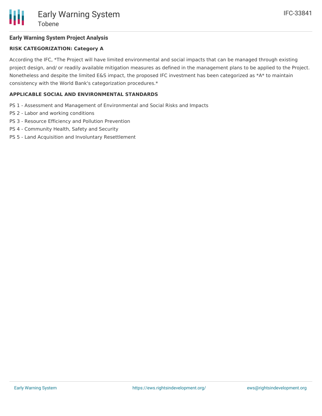## **Early Warning System Project Analysis**

## **RISK CATEGORIZATION: Category A**

According the IFC, \*The Project will have limited environmental and social impacts that can be managed through existing project design, and/ or readily available mitigation measures as defined in the management plans to be applied to the Project. Nonetheless and despite the limited E&S impact, the proposed IFC investment has been categorized as \*A\* to maintain consistency with the World Bank's categorization procedures.\*

## **APPLICABLE SOCIAL AND ENVIRONMENTAL STANDARDS**

- PS 1 Assessment and Management of Environmental and Social Risks and Impacts
- PS 2 Labor and working conditions
- PS 3 Resource Efficiency and Pollution Prevention
- PS 4 Community Health, Safety and Security
- PS 5 Land Acquisition and Involuntary Resettlement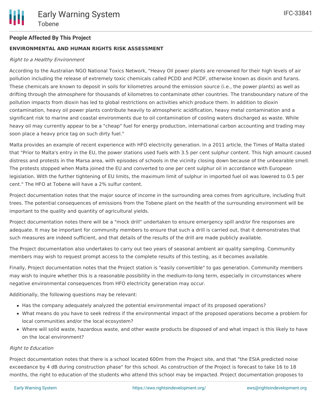## **People Affected By This Project**

## **ENVIRONMENTAL AND HUMAN RIGHTS RISK ASSESSMENT**

#### Right to <sup>a</sup> Healthy Environment

According to the Australian NGO National Toxics Network, "Heavy Oil power plants are renowned for their high levels of air pollution including the release of extremely toxic chemicals called PCDD and PCDF, otherwise known as dioxin and furans. These chemicals are known to deposit in soils for kilometres around the emission source (i.e., the power plants) as well as drifting through the atmosphere for thousands of kilometres to contaminate other countries. The transboundary nature of the pollution impacts from dioxin has led to global restrictions on activities which produce them. In addition to dioxin contamination, heavy oil power plants contribute heavily to atmospheric acidification, heavy metal contamination and a significant risk to marine and coastal environments due to oil contamination of cooling waters discharged as waste. While heavy oil may currently appear to be a "cheap" fuel for energy production, international carbon accounting and trading may soon place a heavy price tag on such dirty fuel."

Malta provides an example of recent experience with HFO electricity generation. In a 2011 article, the Times of Malta stated that "Prior to Malta's entry in the EU, the power stations used fuels with 3.5 per cent sulphur content. This high amount caused distress and protests in the Marsa area, with episodes of schools in the vicinity closing down because of the unbearable smell. The protests stopped when Malta joined the EU and converted to one per cent sulphur oil in accordance with European legislation. With the further tightening of EU limits, the maximum limit of sulphur in imported fuel oil was lowered to 0.5 per cent." The HFO at Tobene will have a 2% sulfur content.

Project documentation notes that the major source of income in the surrounding area comes from agriculture, including fruit trees. The potential consequences of emissions from the Tobene plant on the health of the surrounding environment will be important to the quality and quantity of agricultural yields.

Project documentation notes there will be a "mock drill" undertaken to ensure emergency spill and/or fire responses are adequate. It may be important for community members to ensure that such a drill is carried out, that it demonstrates that such measures are indeed sufficient, and that details of the results of the drill are made publicly available.

The Project documentation also undertakes to carry out two years of seasonal ambient air quality sampling. Community members may wish to request prompt access to the complete results of this testing, as it becomes available.

Finally, Project documentation notes that the Project station is "easily convertible" to gas generation. Community members may wish to inquire whether this is a reasonable possibility in the medium-to-long term, especially in circumstances where negative environmental consequences from HFO electricity generation may occur.

Additionally, the following questions may be relevant:

- Has the company adequately analyzed the potential environmental impact of its proposed operations?
- What means do you have to seek redress if the environmental impact of the proposed operations become a problem for local communities and/or the local ecosystem?
- Where will solid waste, hazardous waste, and other waste products be disposed of and what impact is this likely to have on the local environment?

#### Right to Education

Project documentation notes that there is a school located 600m from the Project site, and that "the ESIA predicted noise exceedance by 4 dB during construction phase" for this school. As construction of the Project is forecast to take 16 to 18 months, the right to education of the students who attend this school may be impacted. Project documentation proposes to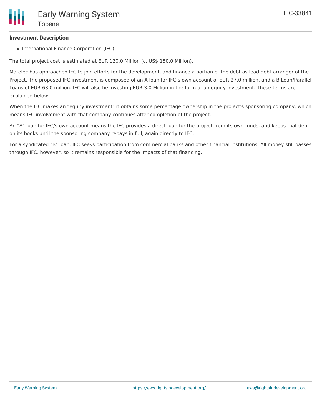## **Investment Description**

Tobene

• International Finance Corporation (IFC)

Early Warning System

The total project cost is estimated at EUR 120.0 Million (c. US\$ 150.0 Million).

Matelec has approached IFC to join efforts for the development, and finance a portion of the debt as lead debt arranger of the Project. The proposed IFC investment is composed of an A loan for IFC;s own account of EUR 27.0 million, and a B Loan/Parallel Loans of EUR 63.0 million. IFC will also be investing EUR 3.0 Million in the form of an equity investment. These terms are explained below:

When the IFC makes an "equity investment" it obtains some percentage ownership in the project's sponsoring company, which means IFC involvement with that company continues after completion of the project.

An "A" loan for IFC/s own account means the IFC provides a direct loan for the project from its own funds, and keeps that debt on its books until the sponsoring company repays in full, again directly to IFC.

For a syndicated "B" loan, IFC seeks participation from commercial banks and other financial institutions. All money still passes through IFC, however, so it remains responsible for the impacts of that financing.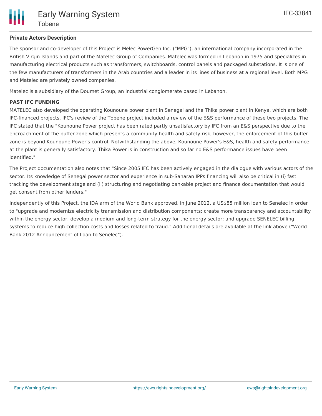and Matelec are privately owned companies.

Matelec is a subsidiary of the Doumet Group, an industrial conglomerate based in Lebanon.

## **PAST IFC FUNDING**

MATELEC also developed the operating Kounoune power plant in Senegal and the Thika power plant in Kenya, which are both IFC-financed projects. IFC's review of the Tobene project included a review of the E&S performance of these two projects. The IFC stated that the "Kounoune Power project has been rated partly unsatisfactory by IFC from an E&S perspective due to the encroachment of the buffer zone which presents a community health and safety risk, however, the enforcement of this buffer zone is beyond Kounoune Power's control. Notwithstanding the above, Kounoune Power's E&S, health and safety performance at the plant is generally satisfactory. Thika Power is in construction and so far no E&S performance issues have been identified."

The Project documentation also notes that "Since 2005 IFC has been actively engaged in the dialogue with various actors of the sector. Its knowledge of Senegal power sector and experience in sub-Saharan IPPs financing will also be critical in (i) fast tracking the development stage and (ii) structuring and negotiating bankable project and finance documentation that would get consent from other lenders."

Independently of this Project, the IDA arm of the World Bank approved, in June 2012, a US\$85 million loan to Senelec in order to "upgrade and modernize electricity transmission and distribution components; create more transparency and accountability within the energy sector; develop a medium and long-term strategy for the energy sector; and upgrade SENELEC billing systems to reduce high collection costs and losses related to fraud." Additional details are available at the link above ("World Bank 2012 Announcement of Loan to Senelec").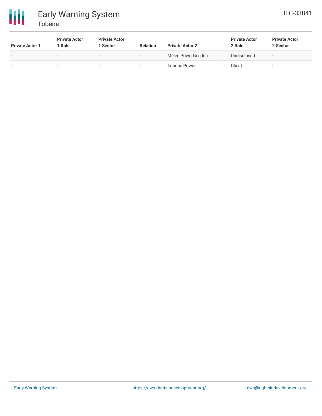

# Early Warning System Tobene

| <b>Private Actor 1</b>   | <b>Private Actor</b><br>Role | <b>Private Actor</b><br>1 Sector | <b>Relation</b>          | <b>Private Actor 2</b> | <b>Private Actor</b><br>2 Role | <b>Private Actor</b><br>2 Sector |
|--------------------------|------------------------------|----------------------------------|--------------------------|------------------------|--------------------------------|----------------------------------|
| $\overline{\phantom{a}}$ | $\sim$                       | -                                | $-$                      | Melec PowerGen Inc.    | Undisclosed                    |                                  |
| $\overline{\phantom{a}}$ | $\overline{\phantom{a}}$     | $\overline{\phantom{0}}$         | $\overline{\phantom{0}}$ | Tobene Power           | Client                         | -                                |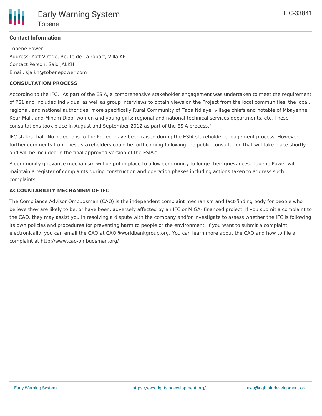

## **Contact Information**

Tobene Power Address: Yoff Virage, Route de l a roport, Villa KP Contact Person: Said JALKH Email: sjalkh@tobenepower.com

## **CONSULTATION PROCESS**

According to the IFC, "As part of the ESIA, a comprehensive stakeholder engagement was undertaken to meet the requirement of PS1 and included individual as well as group interviews to obtain views on the Project from the local communities, the local, regional, and national authorities; more specifically Rural Community of Taba Ndiaye; village chiefs and notable of Mbayenne, Keur-Mall, and Minam Diop; women and young girls; regional and national technical services departments, etc. These consultations took place in August and September 2012 as part of the ESIA process."

IFC states that "No objections to the Project have been raised during the ESIA stakeholder engagement process. However, further comments from these stakeholders could be forthcoming following the public consultation that will take place shortly and will be included in the final approved version of the ESIA."

A community grievance mechanism will be put in place to allow community to lodge their grievances. Tobene Power will maintain a register of complaints during construction and operation phases including actions taken to address such complaints.

## **ACCOUNTABILITY MECHANISM OF IFC**

The Compliance Advisor Ombudsman (CAO) is the independent complaint mechanism and fact-finding body for people who believe they are likely to be, or have been, adversely affected by an IFC or MIGA- financed project. If you submit a complaint to the CAO, they may assist you in resolving a dispute with the company and/or investigate to assess whether the IFC is following its own policies and procedures for preventing harm to people or the environment. If you want to submit a complaint electronically, you can email the CAO at CAO@worldbankgroup.org. You can learn more about the CAO and how to file a complaint at http://www.cao-ombudsman.org/